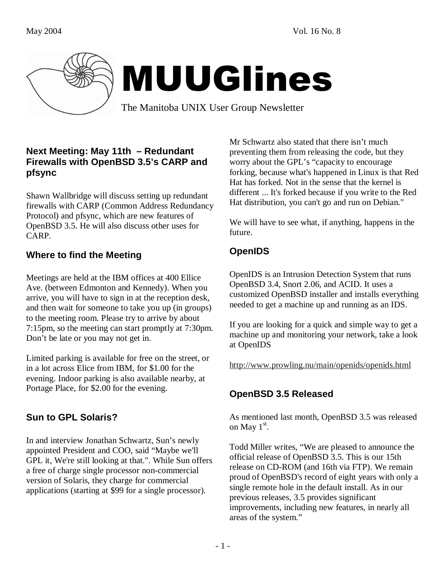

# MUUGlines

The Manitoba UNIX User Group Newsletter

#### **Next Meeting: May 11th – Redundant Firewalls with OpenBSD 3.5's CARP and pfsync**

Shawn Wallbridge will discuss setting up redundant firewalls with CARP (Common Address Redundancy Protocol) and pfsync, which are new features of OpenBSD 3.5. He will also discuss other uses for CARP.

# **Where to find the Meeting**

Meetings are held at the IBM offices at 400 Ellice Ave. (between Edmonton and Kennedy). When you arrive, you will have to sign in at the reception desk, and then wait for someone to take you up (in groups) to the meeting room. Please try to arrive by about 7:15pm, so the meeting can start promptly at 7:30pm. Don't be late or you may not get in.

Limited parking is available for free on the street, or in a lot across Elice from IBM, for \$1.00 for the evening. Indoor parking is also available nearby, at Portage Place, for \$2.00 for the evening.

# **Sun to GPL Solaris?**

In and interview Jonathan Schwartz, Sun's newly appointed President and COO, said "Maybe we'll GPL it, We're still looking at that.". While Sun offers a free of charge single processor non-commercial version of Solaris, they charge for commercial applications (starting at \$99 for a single processor).

Mr Schwartz also stated that there isn't much preventing them from releasing the code, but they worry about the GPL's "capacity to encourage forking, because what's happened in Linux is that Red Hat has forked. Not in the sense that the kernel is different ... It's forked because if you write to the Red Hat distribution, you can't go and run on Debian."

We will have to see what, if anything, happens in the future.

# **OpenIDS**

OpenIDS is an Intrusion Detection System that runs OpenBSD 3.4, Snort 2.06, and ACID. It uses a customized OpenBSD installer and installs everything needed to get a machine up and running as an IDS.

If you are looking for a quick and simple way to get a machine up and monitoring your network, take a look at OpenIDS

http://www.prowling.nu/main/openids/openids.html

### **OpenBSD 3.5 Released**

As mentioned last month, OpenBSD 3.5 was released on May  $1^{\text{st}}$ .

Todd Miller writes, "We are pleased to announce the official release of OpenBSD 3.5. This is our 15th release on CD-ROM (and 16th via FTP). We remain proud of OpenBSD's record of eight years with only a single remote hole in the default install. As in our previous releases, 3.5 provides significant improvements, including new features, in nearly all areas of the system."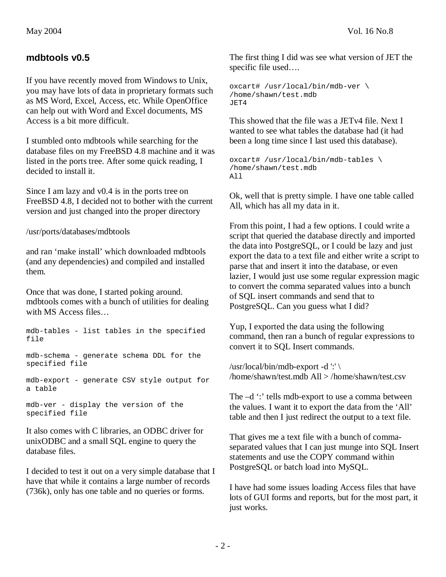#### **mdbtools v0.5**

If you have recently moved from Windows to Unix, you may have lots of data in proprietary formats such as MS Word, Excel, Access, etc. While OpenOffice can help out with Word and Excel documents, MS Access is a bit more difficult.

I stumbled onto mdbtools while searching for the database files on my FreeBSD 4.8 machine and it was listed in the ports tree. After some quick reading, I decided to install it.

Since I am lazy and v0.4 is in the ports tree on FreeBSD 4.8, I decided not to bother with the current version and just changed into the proper directory

/usr/ports/databases/mdbtools

and ran 'make install' which downloaded mdbtools (and any dependencies) and compiled and installed them.

Once that was done, I started poking around. mdbtools comes with a bunch of utilities for dealing with MS Access files…

mdb-tables - list tables in the specified file

mdb-schema - generate schema DDL for the specified file

mdb-export - generate CSV style output for a table

mdb-ver - display the version of the specified file

It also comes with C libraries, an ODBC driver for unixODBC and a small SQL engine to query the database files.

I decided to test it out on a very simple database that I have that while it contains a large number of records (736k), only has one table and no queries or forms.

The first thing I did was see what version of JET the specific file used….

```
oxcart# /usr/local/bin/mdb-ver \ 
/home/shawn/test.mdb 
JET4
```
This showed that the file was a JETv4 file. Next I wanted to see what tables the database had (it had been a long time since I last used this database).

```
oxcart# /usr/local/bin/mdb-tables \ 
/home/shawn/test.mdb 
All
```
Ok, well that is pretty simple. I have one table called All, which has all my data in it.

From this point, I had a few options. I could write a script that queried the database directly and imported the data into PostgreSQL, or I could be lazy and just export the data to a text file and either write a script to parse that and insert it into the database, or even lazier, I would just use some regular expression magic to convert the comma separated values into a bunch of SQL insert commands and send that to PostgreSQL. Can you guess what I did?

Yup, I exported the data using the following command, then ran a bunch of regular expressions to convert it to SQL Insert commands.

/usr/local/bin/mdb-export -d ':' \ /home/shawn/test.mdb All > /home/shawn/test.csv

The  $-d$  ": tells mdb-export to use a comma between the values. I want it to export the data from the 'All' table and then I just redirect the output to a text file.

That gives me a text file with a bunch of commaseparated values that I can just munge into SQL Insert statements and use the COPY command within PostgreSQL or batch load into MySQL.

I have had some issues loading Access files that have lots of GUI forms and reports, but for the most part, it just works.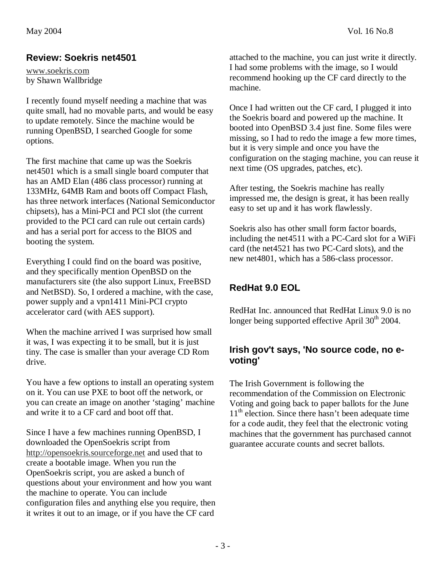#### **Review: Soekris net4501**

www.soekris.com by Shawn Wallbridge

I recently found myself needing a machine that was quite small, had no movable parts, and would be easy to update remotely. Since the machine would be running OpenBSD, I searched Google for some options.

The first machine that came up was the Soekris net4501 which is a small single board computer that has an AMD Elan (486 class processor) running at 133MHz, 64MB Ram and boots off Compact Flash, has three network interfaces (National Semiconductor chipsets), has a Mini-PCI and PCI slot (the current provided to the PCI card can rule out certain cards) and has a serial port for access to the BIOS and booting the system.

Everything I could find on the board was positive, and they specifically mention OpenBSD on the manufacturers site (the also support Linux, FreeBSD and NetBSD). So, I ordered a machine, with the case, power supply and a vpn1411 Mini-PCI crypto accelerator card (with AES support).

When the machine arrived I was surprised how small it was, I was expecting it to be small, but it is just tiny. The case is smaller than your average CD Rom drive.

You have a few options to install an operating system on it. You can use PXE to boot off the network, or you can create an image on another 'staging' machine and write it to a CF card and boot off that.

Since I have a few machines running OpenBSD, I downloaded the OpenSoekris script from http://opensoekris.sourceforge.net and used that to create a bootable image. When you run the OpenSoekris script, you are asked a bunch of questions about your environment and how you want the machine to operate. You can include configuration files and anything else you require, then it writes it out to an image, or if you have the CF card

attached to the machine, you can just write it directly. I had some problems with the image, so I would recommend hooking up the CF card directly to the machine.

Once I had written out the CF card, I plugged it into the Soekris board and powered up the machine. It booted into OpenBSD 3.4 just fine. Some files were missing, so I had to redo the image a few more times, but it is very simple and once you have the configuration on the staging machine, you can reuse it next time (OS upgrades, patches, etc).

After testing, the Soekris machine has really impressed me, the design is great, it has been really easy to set up and it has work flawlessly.

Soekris also has other small form factor boards, including the net4511 with a PC-Card slot for a WiFi card (the net4521 has two PC-Card slots), and the new net4801, which has a 586-class processor.

# **RedHat 9.0 EOL**

RedHat Inc. announced that RedHat Linux 9.0 is no longer being supported effective April  $30<sup>th</sup> 2004$ .

#### **Irish gov't says, 'No source code, no evoting'**

The Irish Government is following the recommendation of the Commission on Electronic Voting and going back to paper ballots for the June 11<sup>th</sup> election. Since there hasn't been adequate time for a code audit, they feel that the electronic voting machines that the government has purchased cannot guarantee accurate counts and secret ballots.